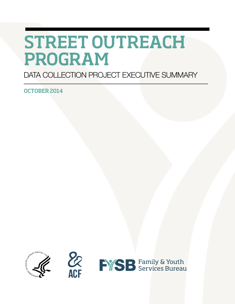# STREET OUTREACH PROGRAM

### DATA COLLECTION PROJECT EXECUTIVE SUMMARY

OCTOBER 2014





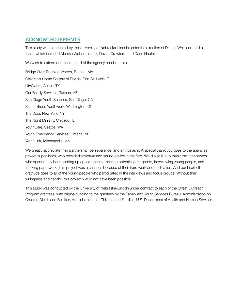#### ACKNOWLEDGEMENTS

This study was conducted by the University of Nebraska-Lincoln under the direction of Dr. Les Whitbeck and his team, which included Melissa Welch Lazoritz, Devan Crawford, and Dane Hautala.

We wish to extend our thanks to all of the agency collaborators:

Bridge Over Troubled Waters, Boston, MA Children's Home Society of Florida, Port St. Lucie, FL LifeWorks, Austin, TX Our Family Services, Tucson, AZ San Diego Youth Services, San Diego, CA Sasha Bruce Youthwork, Washington, DC The Door, New York, NY The Night Ministry, Chicago, IL YouthCare, Seattle, WA Youth Emergency Services, Omaha, NE YouthLink, Minneapolis, MN

We greatly appreciate their partnership, perseverance, and enthusiasm. A special thank you goes to the agencies' project supervisors, who provided structure and sound advice in the field. We'd also like to thank the interviewers who spent many hours setting up appointments, meeting potential participants, interviewing young people, and tracking paperwork. This project was a success because of their hard work and dedication. And our heartfelt gratitude goes to all of the young people who participated in the interviews and focus groups. Without their willingness and candor, this project would not have been possible.

This study was conducted by the University of Nebraska-Lincoln under contract to each of the Street Outreach Program grantees, with original funding to the grantees by the Family and Youth Services Bureau, Administration on Children, Youth and Families, Administration for Children and Families, U.S. Department of Health and Human Services.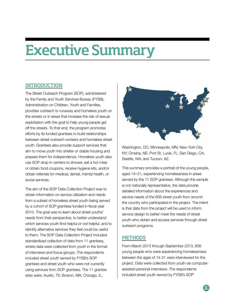## Executive Summary

#### INTRODUCTION

The Street Outreach Program (SOP), administered by the Family and Youth Services Bureau (FYSB), Administration on Children, Youth and Families, provides outreach to runaway and homeless youth on the streets or in areas that increase the risk of sexual exploitation with the goal to help young people get off the streets. To that end, the program promotes efforts by its funded grantees to build relationships between street outreach workers and homeless street youth. Grantees also provide support services that aim to move youth into shelter or stable housing and prepare them for independence. Homeless youth also use SOP drop-in centers to shower, eat a hot meal or obtain food coupons, receive hygiene kits, and/or obtain referrals for medical, dental, mental health, or social services.

The aim of the SOP Data Collection Project was to obtain information on service utilization and needs from a subset of homeless street youth being served by a cohort of SOP grantees funded in fiscal year 2010. The goal was to learn about street youths' needs from their perspective, to better understand which services youth find helpful or not helpful, and to identify alternative services they feel could be useful to them. The SOP Data Collection Project included standardized collection of data from 11 grantees, where data were collected from youth in the format of interviews and focus groups. The respondents included street youth served by FYSB's SOP grantees and street youth who were not currently using services from SOP grantees. The 11 grantee sites were: Austin, TX; Boston, MA; Chicago, IL;



Washington, DC; Minneapolis, MN; New York City, NY; Omaha, NE; Port St. Lucie, FL; San Diego, CA; Seattle, WA; and Tucson, AZ.

This summary provides a portrait of the young people, aged 14–21, experiencing homelessness in areas served by the 11 SOP grantees. Although the sample is not nationally representative, the data provide detailed information about the experiences and service needs of the 656 street youth from around the country who participated in the project. The intent is that data from the project will be used to inform service design to better meet the needs of street youth who obtain and access services through street outreach programs.

#### **METHODS**

From March 2013 through September 2013, 656 young people who were experiencing homelessness between the ages of 14-21 were interviewed for the project. Data were collected from youth via computerassisted personal interviews. The respondents included street youth served by FYSB's SOP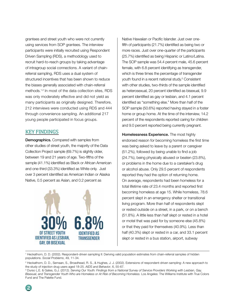grantees and street youth who were not currently using services from SOP grantees. The interview participants were initially recruited using Respondent Driven Sampling (RDS), a methodology used to recruit hard-to-reach groups by taking advantage of intragroup social connections. A variant of chainreferral sampling, RDS uses a dual system of structured incentives that has been shown to reduce the biases generally associated with chain-referral methods.1,2 In most of the data collection sites, RDS was only moderately effective and did not yield as many participants as originally designed. Therefore, 212 interviews were conducted using RDS and 444 through convenience sampling. An additional 217 young people participated in focus groups.

#### KEY FINDINGS

Demographics. Compared with samples from other studies of street youth, the majority of the Data Collection Project sample (69.7%) is slightly older, between 19 and 21 years of age. Two-fifths of the sample (41.1%) identified as Black or African American and one-third (33.3%) identified as White only. Just over 3 percent identified as American Indian or Alaska Native, 0.5 percent as Asian, and 0.2 percent as



Native Hawaiian or Pacific Islander. Just over onefifth of participants (21.7%) identified as being two or more races. Just over one-quarter of the participants (25.7%) identified as being Hispanic or Latino/Latina. The SOP sample was 54.4 percent male, 45.6 percent female, with 6.8 percent identifying as transgender, which is three times the percentage of transgender youth found in a recent national study.3 Consistent with other studies, two-thirds of the sample identified as heterosexual, 20 percent identified as bisexual, 9.9 percent identified as gay or lesbian, and 4.1 percent identified as "something else." More than half of the SOP sample (50.6%) reported having stayed in a foster home or group home. At the time of the interview, 14.2 percent of the respondents reported caring for children and 9.0 percent reported being currently pregnant.

Homelessness Experience. The most highly endorsed reason for becoming homeless the first time was being asked to leave by a parent or caregiver (51.2%), followed by being unable to find a job (24.7%), being physically abused or beaten (23.8%), or problems in the home due to a caretaker's drug or alcohol abuse. Only 29.5 percent of respondents reported they had the option of returning home. On average, respondents had been homeless for a total lifetime rate of 23.4 months and reported first becoming homeless at age 15. While homeless, 78.6 percent slept in an emergency shelter or transitional living program. More than half of respondents slept or rested outside on a street, in a park, or on a bench (51.8%). A little less than half slept or rested in a hotel or motel that was paid for by someone else (45.8%) or that they paid for themselves (40.9%). Less than half (40.3%) slept or rested in a car, and 33.1 percent slept or rested in a bus station, airport, subway

1 Heckathorn, D. D. (2002). Respondent-driven sampling II: Deriving valid population estimates from chain-referral samples of hidden populations. *Social Problems*, 49, 11-34.

2 Heckathorn, D. D., Semaan, S., Broadhead, R. S., & Hughes, J. J. (2002). Extensions of respondent-driven sampling: A new approach to the study of injection drug users aged 18-25. *AIDS and Behavior*, 6, 55-67.

3 Durso L.E. & Gates, G.J. (2012). *Serving Our Youth: Findings from a National Survey of Service Providers Working with Lesbian, Gay, Bisexual, and Transgender Youth Who are Homeless or At Risk of Becoming Homeless.* Los Angeles: The Williams Institute with True Colors Fund and The Palette Fund.

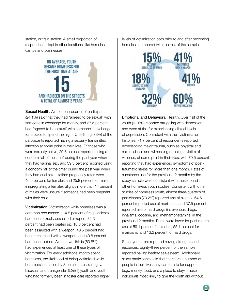station, or train station. A small proportion of respondents slept in other locations, like homeless camps and businesses.



Sexual Health. Almost one-quarter of participants (24.1%) said that they had "agreed to be sexual" with someone in exchange for money, and 27.5 percent had "agreed to be sexual" with someone in exchange for a place to spend the night. One-fifth (20.3%) of the participants reported having a sexually transmitted infection at some point in their lives. Of those who were sexually active, 29.8 percent reported using a condom "all of the time" during the past year when they had vaginal sex, and 39.3 percent reported using a condom "all of the time" during the past year when they had anal sex. Lifetime pregnancy rates were 46.5 percent for females and 25.8 percent for males (impregnating a female). Slightly more than 14 percent of males were unsure if someone had been pregnant with their child.

Victimization. Victimization while homeless was a common occurrence—14.5 percent of respondents had been sexually assaulted or raped, 32.3 percent had been beaten up, 18.3 percent had been assaulted with a weapon, 40.5 percent had been threatened with a weapon, and 40.8 percent had been robbed. Almost two-thirds (60.8%) had experienced at least one of these types of victimization. For every additional month spent homeless, the likelihood of being victimized while homeless increased by 3 percent. Lesbian, gay, bisexual, and transgender (LGBT) youth and youth who had formerly been in foster care reported higher levels of victimization both prior to and after becoming homeless compared with the rest of the sample.



Emotional and Behavioral Health. Over half of the youth (61.8%) reported struggling with depression and were at risk for experiencing clinical levels of depression. Consistent with their victimization histories, 71.7 percent of respondents reported experiencing major trauma, such as physical and sexual abuse and witnessing or being a victim of violence, at some point in their lives, with 79.5 percent reporting they had experienced symptoms of posttraumatic stress for more than one month. Rates of substance use for the previous 12 months by the study sample were consistent with those found in other homeless youth studies. Consistent with other studies of homeless youth, almost three-quarters of participants (73.2%) reported use of alcohol, 64.6 percent reported use of marijuana, and 37.5 percent reported use of hard drugs (intravenous drugs, inhalants, cocaine, and methamphetamine) in the previous 12 months. Rates were lower for past month use at 59.1 percent for alcohol, 55.1 percent for marijuana, and 13.2 percent for hard drugs.

Street youth also reported having strengths and resources. Eighty-three percent of the sample reported having healthy self-esteem. Additionally, study participants said that there are a number of people in their lives they can turn to for support (e.g., money, food, and a place to stay). Those individuals most likely to give the youth aid without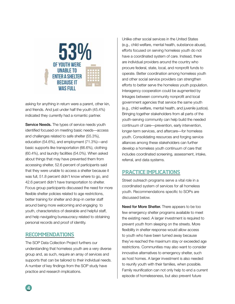

asking for anything in return were a parent, other kin, and friends. And just under half the youth (45.4%) indicated they currently had a romantic partner.

Service Needs. The types of service needs youth identified focused on meeting basic needs––access and challenges related to safe shelter (55.3%), education (54.6%), and employment (71.3%)––and basic supports like transportation (66.6%), clothing (60.4%), and laundry facilities (54.0%). When asked about things that may have prevented them from accessing shelter, 52.6 percent of participants said that they were unable to access a shelter because it was full, 51.8 percent didn't know where to go, and 42.6 percent didn't have transportation to shelter. Focus group participants discussed the need for more flexible shelter policies related to age restrictions, better training for shelter and drop-in center staff around being more welcoming and engaging to youth, characteristics of desirable and helpful staff, and help navigating bureaucracy related to obtaining personal records and proof of identity.

#### RECOMMENDATIONS

The SOP Data Collection Project furthers our understanding that homeless youth are a very diverse group and, as such, require an array of services and supports that can be tailored to their individual needs. A number of key findings from the SOP study have practice and research implications.

Unlike other social services in the United States (e.g., child welfare, mental health, substance abuse), efforts focused on serving homeless youth do not have a coordinated system of care. Instead, there are individual providers around the country who procure federal, state, local, and nonprofit funds to operate. Better coordination among homeless youth and other social service providers can strengthen efforts to better serve the homeless youth population. Interagency cooperation could be augmented by linkages between community nonprofit and local government agencies that service the same youth (e.g., child welfare, mental health, and juvenile justice). Bringing together stakeholders from all parts of the youth-serving community can help build the needed continuum of care––prevention, early intervention, longer-term services, and aftercare––for homeless youth. Consolidating resources and forging service alliances among these stakeholders can further develop a homeless youth continuum of care that includes coordinated screening, assessment, intake, referral, and data systems.

#### PRACTICE IMPLICATIONS

Street outreach programs serve a vital role in a coordinated system of services for all homeless youth. Recommendations specific to SOPs are discussed below.

Need for More Shelter. There appears to be too few emergency shelter programs available to meet the existing need. A larger investment is required to prevent youth from sleeping on the streets. More flexibility in shelter response would allow access to youth who have been turned away because they've reached the maximum stay or exceeded age restrictions. Communities may also want to consider innovative alternatives to emergency shelter, such as host homes. A larger investment is also needed to reunify youth with their families, when possible. Family reunification can not only help to end a current episode of homelessness, but also prevent future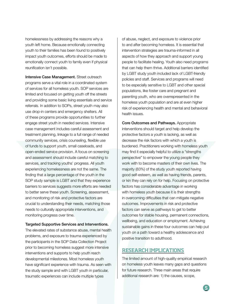homelessness by addressing the reasons why a youth left home. Because emotionally connecting youth to their families has been found to positively impact youth outcomes, efforts should be made to emotionally connect youth to family even if physical reunification isn't possible.

Intensive Case Management. Street outreach programs serve a vital role in a coordinated system of services for all homeless youth. SOP services are limited and focused on getting youth off the streets and providing some basic living essentials and service referrals. In addition to SOPs, street youth may also use drop-in centers and emergency shelters. All of these programs provide opportunities to further engage street youth in needed services. Intensive case management includes careful assessment and treatment planning, linkage to a full range of needed community services, crisis counseling, flexible use of funds to support youth, small caseloads, and open-ended service provision. A focus on screening and assessment should include careful matching to services, and tracking youths' progress. All youth experiencing homelessness are not the same. The finding that a large percentage of the youth in the SOP study sample is LGBT and that they experience barriers to services suggests more efforts are needed to better serve these youth. Screening, assessment, and monitoring of risk and protective factors are crucial to understanding their needs, matching those needs to culturally appropriate interventions, and monitoring progress over time.

#### Targeted Supportive Services and Interventions.

The elevated rates of substance abuse, mental health problems, and exposure to trauma experienced by the participants in the SOP Data Collection Project prior to becoming homeless suggest more intensive interventions and supports to help youth reach developmental milestones. Most homeless youth have significant experience with trauma. As seen with the study sample and with LGBT youth in particular, traumatic experiences can include multiple types

of abuse, neglect, and exposure to violence prior to and after becoming homeless. It is essential that intervention strategies are trauma-informed in all aspects of how they approach and support young people to facilitate healing. Youth also need programs that can help them thrive. Additional barriers identified by LGBT study youth included lack of LGBT-friendly policies and staff. Services and programs will need to be especially sensitive to LGBT and other special populations, like foster care and pregnant and parenting youth, who are overrepresented in the homeless youth population and are at even higher risk of experiencing health and mental and behavioral health issues.

Core Outcomes and Pathways. Appropriate interventions should target and help develop the protective factors a youth is lacking, as well as decrease the risk factors with which a youth is burdened. Practitioners working with homeless youth may find it especially helpful to utilize a "strengths perspective" to empower the young people they work with to become masters of their own lives. The majority (83%) of the study youth reported having good self-esteem, as well as having friends, parents, or kin they can rely on for help. Focusing on protective factors has considerable advantage in working with homeless youth because it is their strengths in overcoming difficulties that can mitigate negative outcomes. Improvements in risk and protective factors can serve as pathways to get to better outcomes for stable housing, permanent connections, wellbeing, and education or employment. Achieving sustainable gains in these four outcomes can help put youth on a path toward a healthy adolescence and positive transition to adulthood.

#### RESEARCH IMPLICATIONS

The limited amount of high-quality empirical research on homeless youth leaves many gaps and questions for future research. Three main areas that require additional research are: 1) the causes, scope,